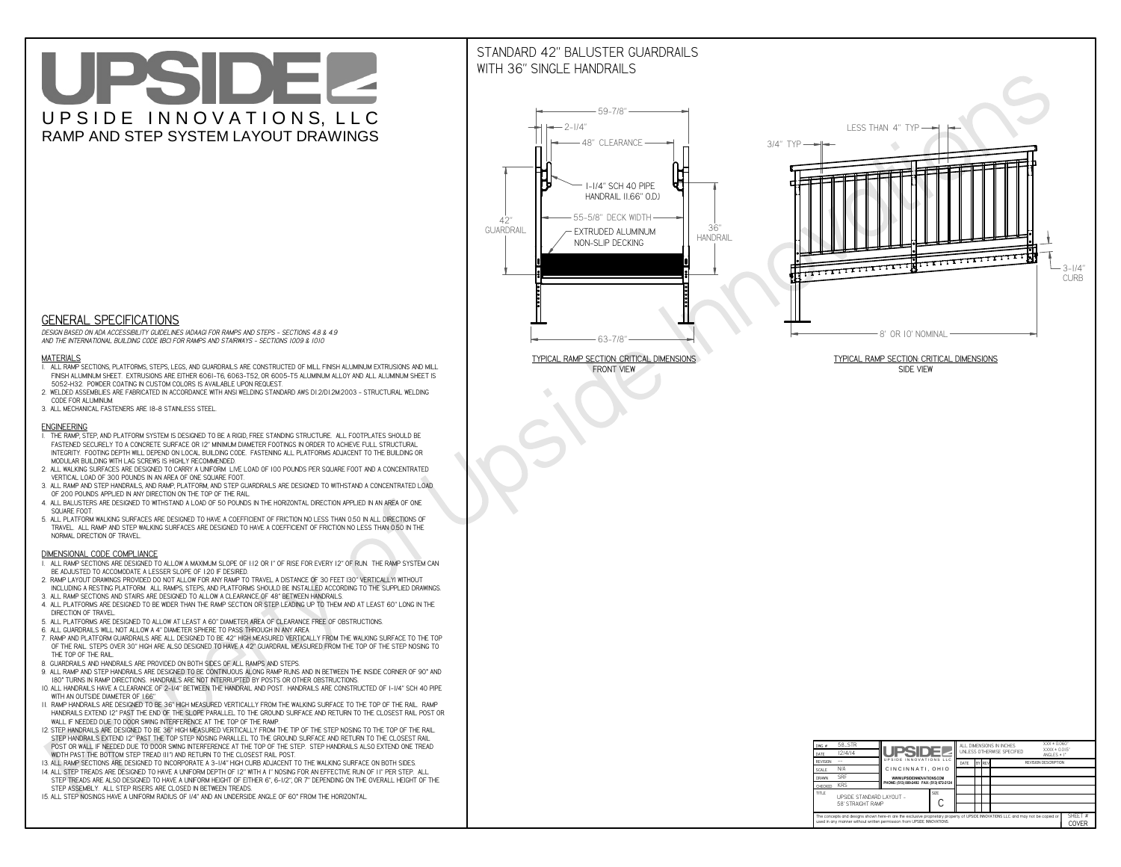# UPSIDEL UPSIDE INNOVATIONS, LLC RAMP AND STEP SYSTEM LAYOUT DRAWINGS

## STANDARD 42" BALUSTER GUARDRAILSWITH 36" SINGLE HANDRAILS

**FRONT VIEW**





**GENERAL SPECIFICATIONS**

 *DESIGN BASED ON ADA ACCESSIBILITY GUIDELINES (ADAAG) FOR RAMPS AND STEPS - SECTIONS 4.8 & 4.9AND THE INTERNATIONAL BUILDING CODE (IBC) FOR RAMPS AND STAIRWAYS - SECTIONS 1009 & 1010*

#### **MATERIALS**

- **1. ALL RAMP SECTIONS, PLATFORMS, STEPS, LEGS, AND GUARDRAILS ARE CONSTRUCTED OF MILL FINISH ALUMINUM EXTRUSIONS AND MILL FINISH ALUMINUM SHEET. EXTRUSIONS ARE EITHER 6061-T6, 6063-T52, OR 6005-T5 ALUMINUM ALLOY AND ALL ALUMINUM SHEET IS 5052-H32. POWDER COATING IN CUSTOM COLORS IS AVAILABLE UPON REQUEST.**
- **2. WELDED ASSEMBLIES ARE FABRICATED IN ACCORDANCE WITH ANSI WELDING STANDARD AWS D1.2/D1.2M:2003 STRUCTURAL WELDING CODE FOR ALUMINUM.**
- **3. ALL MECHANICAL FASTENERS ARE 18-8 STAINLESS STEEL.**

#### **ENGINEERING**

- **1. THE RAMP, STEP, AND PLATFORM SYSTEM IS DESIGNED TO BE A RIGID, FREE STANDING STRUCTURE. ALL FOOTPLATES SHOULD BE FASTENED SECURELY TO A CONCRETE SURFACE OR 12" MINIMUM DIAMETER FOOTINGS IN ORDER TO ACHIEVE FULL STRUCTURAL INTEGRITY. FOOTING DEPTH WILL DEPEND ON LOCAL BUILDING CODE. FASTENING ALL PLATFORMS ADJACENT TO THE BUILDING OR MODULAR BUILDING WITH LAG SCREWS IS HIGHLY RECOMMENDED.**
- **2. ALL WALKING SURFACES ARE DESIGNED TO CARRY A UNIFORM LIVE LOAD OF 100 POUNDS PER SQUARE FOOT AND A CONCENTRATED VERTICAL LOAD OF 300 POUNDS IN AN AREA OF ONE SQUARE FOOT.**
- **3. ALL RAMP AND STEP HANDRAILS, AND RAMP, PLATFORM, AND STEP GUARDRAILS ARE DESIGNED TO WITHSTAND A CONCENTRATED LOAD OF 200 POUNDS APPLIED IN ANY DIRECTION ON THE TOP OF THE RAIL.**
- **4. ALL BALUSTERS ARE DESIGNED TO WITHSTAND A LOAD OF 50 POUNDS IN THE HORIZONTAL DIRECTION APPLIED IN AN AREA OF ONE SQUARE FOOT.**
- **5. ALL PLATFORM WALKING SURFACES ARE DESIGNED TO HAVE A COEFFICIENT OF FRICTION NO LESS THAN 0.50 IN ALL DIRECTIONS OF TRAVEL. ALL RAMP AND STEP WALKING SURFACES ARE DESIGNED TO HAVE A COEFFICIENT OF FRICTION NO LESS THAN 0.50 IN THE NORMAL DIRECTION OF TRAVEL.**

| $DWG.$ #                                                                                                                                                                                                    | 58_STR                                        |                                           |                            | ALL DIMENSIONS IN INCHES |                 |  |                             |  | $XXX = 0.060"$<br>$XXX \pm 0.015$ " |  |
|-------------------------------------------------------------------------------------------------------------------------------------------------------------------------------------------------------------|-----------------------------------------------|-------------------------------------------|----------------------------|--------------------------|-----------------|--|-----------------------------|--|-------------------------------------|--|
| DATE                                                                                                                                                                                                        | 12/4/14                                       | <b>UPSIDEZ</b>                            | UNLESS OTHERWISE SPECIFIED |                          | ANGLES $\pm$ 1° |  |                             |  |                                     |  |
| <b>REVISION</b>                                                                                                                                                                                             |                                               | UPSIDE INNOVATIONS LLC                    | DATE                       |                          | BY REV          |  | <b>REVISION DESCRIPTION</b> |  |                                     |  |
| <b>SCALE</b>                                                                                                                                                                                                | N/A                                           | CINCINNATI, OHIO                          |                            |                          |                 |  |                             |  |                                     |  |
| <b>DRAWN</b>                                                                                                                                                                                                | <b>SRF</b>                                    | WWW.UPSIDEINNOVATIONS.COM                 |                            |                          |                 |  |                             |  |                                     |  |
| <b>CHECKED</b>                                                                                                                                                                                              | <b>KRS</b>                                    | PHONE: (513) 889-2492 FAX: (513) 672-2124 |                            |                          |                 |  |                             |  |                                     |  |
| <b>TITLE</b>                                                                                                                                                                                                | UPSIDE STANDARD LAYOUT -<br>58' STRAIGHT RAMP |                                           | <b>SIZE</b>                |                          |                 |  |                             |  |                                     |  |
| The concepts and designs shown here-in are the exclusive proprietary property of UPSIDE INNOVATIONS LLC. and may not be copied or<br>used in any manner without written permission from UPSIDE INNOVATIONS. |                                               |                                           |                            |                          |                 |  |                             |  | SHEET #<br>COVER                    |  |

### **DIMENSIONAL CODE COMPLIANCE**

- **1. ALL RAMP SECTIONS ARE DESIGNED TO ALLOW A MAXIMUM SLOPE OF 1:12 OR 1" OF RISE FOR EVERY 12" OF RUN. THE RAMP SYSTEM CAN BE ADJUSTED TO ACCOMODATE A LESSER SLOPE OF 1:20 IF DESIRED.**
- **2. RAMP LAYOUT DRAWINGS PROVIDED DO NOT ALLOW FOR ANY RAMP TO TRAVEL A DISTANCE OF 30 FEET (30" VERTICALLY) WITHOUT INCLUDING A RESTING PLATFORM. ALL RAMPS, STEPS, AND PLATFORMS SHOULD BE INSTALLED ACCORDING TO THE SUPPLIED DRAWINGS.**
- **3. ALL RAMP SECTIONS AND STAIRS ARE DESIGNED TO ALLOW A CLEARANCE OF 48" BETWEEN HANDRAILS.**
- **4. ALL PLATFORMS ARE DESIGNED TO BE WIDER THAN THE RAMP SECTION OR STEP LEADING UP TO THEM AND AT LEAST 60" LONG IN THE DIRECTION OF TRAVEL.**
- **5. ALL PLATFORMS ARE DESIGNED TO ALLOW AT LEAST A 60" DIAMETER AREA OF CLEARANCE FREE OF OBSTRUCTIONS.**
- **6. ALL GUARDRAILS WILL NOT ALLOW A 4" DIAMETER SPHERE TO PASS THROUGH IN ANY AREA.**
- **7. RAMP AND PLATFORM GUARDRAILS ARE ALL DESIGNED TO BE 42" HIGH MEASURED VERTICALLY FROM THE WALKING SURFACE TO THE TOP OF THE RAIL. STEPS OVER 30" HIGH ARE ALSO DESIGNED TO HAVE A 42" GUARDRAIL MEASURED FROM THE TOP OF THE STEP NOSING TO THE TOP OF THE RAIL.**
- **8. GUARDRAILS AND HANDRAILS ARE PROVIDED ON BOTH SIDES OF ALL RAMPS AND STEPS.**
- **9. ALL RAMP AND STEP HANDRAILS ARE DESIGNED TO BE CONTINUOUS ALONG RAMP RUNS AND IN BETWEEN THE INSIDE CORNER OF 90° AND 180° TURNS IN RAMP DIRECTIONS. HANDRAILS ARE NOT INTERRUPTED BY POSTS OR OTHER OBSTRUCTIONS.**
- **10. ALL HANDRAILS HAVE A CLEARANCE OF 2-1/4" BETWEEN THE HANDRAIL AND POST. HANDRAILS ARE CONSTRUCTED OF 1-1/4" SCH 40 PIPE WITH AN OUTSIDE DIAMETER OF 1.66"**
- **11. RAMP HANDRAILS ARE DESIGNED TO BE 36" HIGH MEASURED VERTICALLY FROM THE WALKING SURFACE TO THE TOP OF THE RAIL. RAMP HANDRAILS EXTEND 12" PAST THE END OF THE SLOPE PARALLEL TO THE GROUND SURFACE AND RETURN TO THE CLOSEST RAIL POST OR WALL IF NEEDED DUE TO DOOR SWING INTERFERENCE AT THE TOP OF THE RAMP.**
- **12. STEP HANDRAILS ARE DESIGNED TO BE 36" HIGH MEASURED VERTICALLY FROM THE TIP OF THE STEP NOSING TO THE TOP OF THE RAIL. STEP HANDRAILS EXTEND 12" PAST THE TOP STEP NOSING PARALLEL TO THE GROUND SURFACE AND RETURN TO THE CLOSEST RAIL POST OR WALL IF NEEDED DUE TO DOOR SWING INTERFERENCE AT THE TOP OF THE STEP. STEP HANDRAILS ALSO EXTEND ONE TREAD**
- **WIDTH PAST THE BOTTOM STEP TREAD (11") AND RETURN TO THE CLOSEST RAIL POST.**
- **13. ALL RAMP SECTIONS ARE DESIGNED TO INCORPORATE A 3-1/4" HIGH CURB ADJACENT TO THE WALKING SURFACE ON BOTH SIDES.**
- **14. ALL STEP TREADS ARE DESIGNED TO HAVE A UNIFORM DEPTH OF 12" WITH A 1" NOSING FOR AN EFFECTIVE RUN OF 11" PER STEP. ALL STEP TREADS ARE ALSO DESIGNED TO HAVE A UNIFORM HEIGHT OF EITHER 6", 6-1/2", OR 7" DEPENDING ON THE OVERALL HEIGHT OF THE STEP ASSEMBLY. ALL STEP RISERS ARE CLOSED IN BETWEEN TREADS.**
- **15. ALL STEP NOSINGS HAVE A UNIFORM RADIUS OF 1/4" AND AN UNDERSIDE ANGLE OF 60° FROM THE HORIZONTAL.**